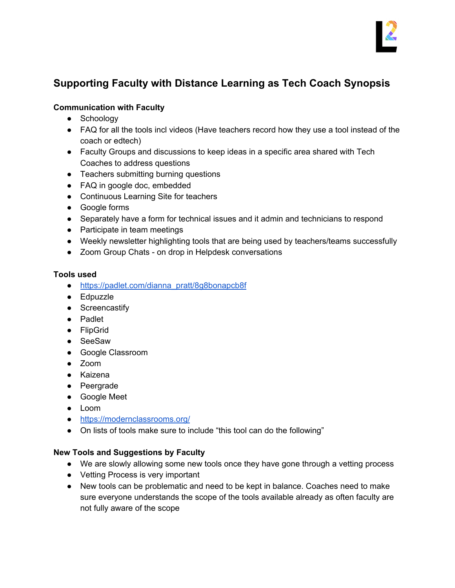

# **Supporting Faculty with Distance Learning as Tech Coach Synopsis**

#### **Communication with Faculty**

- Schoology
- FAQ for all the tools incl videos (Have teachers record how they use a tool instead of the coach or edtech)
- Faculty Groups and discussions to keep ideas in a specific area shared with Tech Coaches to address questions
- Teachers submitting burning questions
- FAQ in google doc, embedded
- Continuous Learning Site for teachers
- Google forms
- Separately have a form for technical issues and it admin and technicians to respond
- Participate in team meetings
- Weekly newsletter highlighting tools that are being used by teachers/teams successfully
- Zoom Group Chats on drop in Helpdesk conversations

#### **Tools used**

- [https://padlet.com/dianna\\_pratt/8g8bonapcb8f](https://padlet.com/dianna_pratt/8g8bonapcb8f)
- Edpuzzle
- Screencastify
- Padlet
- FlipGrid
- SeeSaw
- Google Classroom
- Zoom
- Kaizena
- Peergrade
- Google Meet
- Loom
- <https://modernclassrooms.org/>
- On lists of tools make sure to include "this tool can do the following"

#### **New Tools and Suggestions by Faculty**

- We are slowly allowing some new tools once they have gone through a vetting process
- Vetting Process is very important
- New tools can be problematic and need to be kept in balance. Coaches need to make sure everyone understands the scope of the tools available already as often faculty are not fully aware of the scope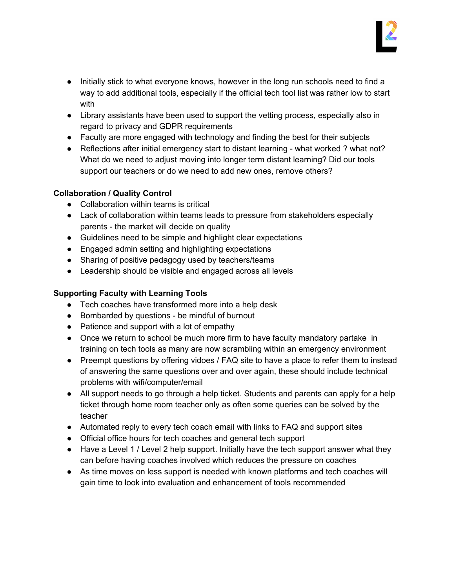

- Initially stick to what everyone knows, however in the long run schools need to find a way to add additional tools, especially if the official tech tool list was rather low to start with
- Library assistants have been used to support the vetting process, especially also in regard to privacy and GDPR requirements
- Faculty are more engaged with technology and finding the best for their subjects
- Reflections after initial emergency start to distant learning what worked ? what not? What do we need to adjust moving into longer term distant learning? Did our tools support our teachers or do we need to add new ones, remove others?

### **Collaboration / Quality Control**

- Collaboration within teams is critical
- Lack of collaboration within teams leads to pressure from stakeholders especially parents - the market will decide on quality
- Guidelines need to be simple and highlight clear expectations
- Engaged admin setting and highlighting expectations
- Sharing of positive pedagogy used by teachers/teams
- Leadership should be visible and engaged across all levels

## **Supporting Faculty with Learning Tools**

- Tech coaches have transformed more into a help desk
- Bombarded by questions be mindful of burnout
- Patience and support with a lot of empathy
- Once we return to school be much more firm to have faculty mandatory partake in training on tech tools as many are now scrambling within an emergency environment
- Preempt questions by offering vidoes / FAQ site to have a place to refer them to instead of answering the same questions over and over again, these should include technical problems with wifi/computer/email
- All support needs to go through a help ticket. Students and parents can apply for a help ticket through home room teacher only as often some queries can be solved by the teacher
- Automated reply to every tech coach email with links to FAQ and support sites
- Official office hours for tech coaches and general tech support
- Have a Level 1 / Level 2 help support. Initially have the tech support answer what they can before having coaches involved which reduces the pressure on coaches
- As time moves on less support is needed with known platforms and tech coaches will gain time to look into evaluation and enhancement of tools recommended